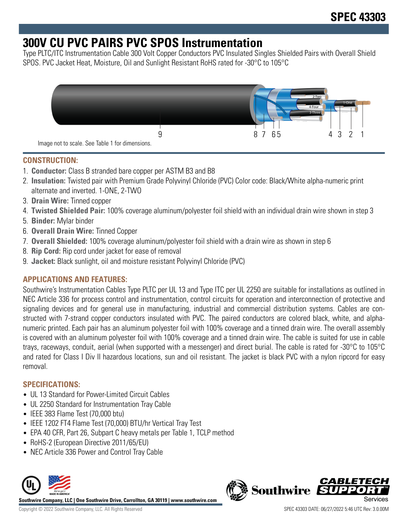## **300V CU PVC PAIRS PVC SPOS Instrumentation**

Type PLTC/ITC Instrumentation Cable 300 Volt Copper Conductors PVC Insulated Singles Shielded Pairs with Overall Shield SPOS. PVC Jacket Heat, Moisture, Oil and Sunlight Resistant RoHS rated for -30°C to 105°C



### **CONSTRUCTION:**

- 1. **Conductor:** Class B stranded bare copper per ASTM B3 and B8
- 2. **Insulation:** Twisted pair with Premium Grade Polyvinyl Chloride (PVC) Color code: Black/White alpha-numeric print alternate and inverted. 1-ONE, 2-TWO
- 3. **Drain Wire:** Tinned copper
- 4. **Twisted Shielded Pair:** 100% coverage aluminum/polyester foil shield with an individual drain wire shown in step 3
- 5. **Binder:** Mylar binder
- 6. **Overall Drain Wire:** Tinned Copper
- 7. **Overall Shielded:** 100% coverage aluminum/polyester foil shield with a drain wire as shown in step 6
- 8. **Rip Cord:** Rip cord under jacket for ease of removal
- 9. **Jacket:** Black sunlight, oil and moisture resistant Polyvinyl Chloride (PVC)

## **APPLICATIONS AND FEATURES:**

Southwire's Instrumentation Cables Type PLTC per UL 13 and Type ITC per UL 2250 are suitable for installations as outlined in NEC Article 336 for process control and instrumentation, control circuits for operation and interconnection of protective and signaling devices and for general use in manufacturing, industrial and commercial distribution systems. Cables are constructed with 7-strand copper conductors insulated with PVC. The paired conductors are colored black, white, and alphanumeric printed. Each pair has an aluminum polyester foil with 100% coverage and a tinned drain wire. The overall assembly is covered with an aluminum polyester foil with 100% coverage and a tinned drain wire. The cable is suited for use in cable trays, raceways, conduit, aerial (when supported with a messenger) and direct burial. The cable is rated for -30°C to 105°C and rated for Class I Div II hazardous locations, sun and oil resistant. The jacket is black PVC with a nylon ripcord for easy removal.

## **SPECIFICATIONS:**

- UL 13 Standard for Power-Limited Circuit Cables
- UL 2250 Standard for Instrumentation Tray Cable
- IEEE 383 Flame Test (70,000 btu)
- IEEE 1202 FT4 Flame Test (70,000) BTU/hr Vertical Tray Test
- EPA 40 CFR, Part 26, Subpart C heavy metals per Table 1, TCLP method
- RoHS-2 (European Directive 2011/65/EU)
- NEC Article 336 Power and Control Tray Cable



**Southwire Company, LLC | One Southwire Drive, Carrollton, GA 30119 | www.southwire.com**

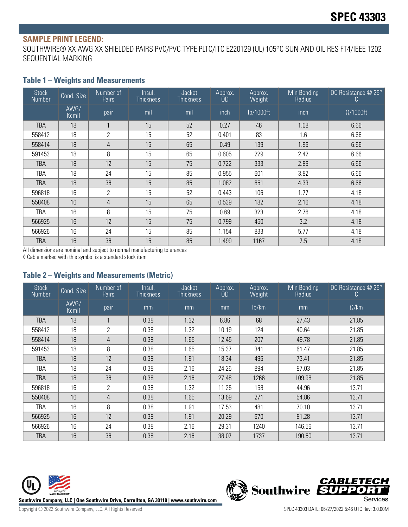#### **SAMPLE PRINT LEGEND:**

SOUTHWIRE® XX AWG XX SHIELDED PAIRS PVC/PVC TYPE PLTC/ITC E220129 (UL) 105°C SUN AND OIL RES FT4/IEEE 1202 SEQUENTIAL MARKING

#### **Table 1 – Weights and Measurements**

| <b>Stock</b><br>Number | Cond. Size    | Number of<br>Pairs | Insul.<br><b>Thickness</b> | <b>Jacket</b><br><b>Thickness</b> | Approx.<br>OD. | Approx.<br>Weight | Min Bending<br>Radius | DC Resistance $@$ 25 $°$<br>C. |
|------------------------|---------------|--------------------|----------------------------|-----------------------------------|----------------|-------------------|-----------------------|--------------------------------|
|                        | AWG/<br>Kcmil | pair               | mil                        | mil                               | inch           | lb/1000ft         | inch                  | $\Omega/1000$ ft               |
| <b>TBA</b>             | 18            |                    | 15                         | 52                                | 0.27           | 46                | 1.08                  | 6.66                           |
| 558412                 | 18            | $\overline{2}$     | 15                         | 52                                | 0.401          | 83                | 1.6                   | 6.66                           |
| 558414                 | 18            | 4                  | 15                         | 65                                | 0.49           | 139               | 1.96                  | 6.66                           |
| 591453                 | 18            | 8                  | 15                         | 65                                | 0.605          | 229               | 2.42                  | 6.66                           |
| <b>TBA</b>             | 18            | 12                 | 15                         | 75                                | 0.722          | 333               | 2.89                  | 6.66                           |
| TBA                    | 18            | 24                 | 15                         | 85                                | 0.955          | 601               | 3.82                  | 6.66                           |
| TBA                    | 18            | 36                 | 15                         | 85                                | 1.082          | 851               | 4.33                  | 6.66                           |
| 596818                 | 16            | $\overline{2}$     | 15                         | 52                                | 0.443          | 106               | 1.77                  | 4.18                           |
| 558408                 | 16            | 4                  | 15                         | 65                                | 0.539          | 182               | 2.16                  | 4.18                           |
| TBA                    | 16            | 8                  | 15                         | 75                                | 0.69           | 323               | 2.76                  | 4.18                           |
| 566925                 | 16            | 12                 | 15                         | 75                                | 0.799          | 450               | 3.2                   | 4.18                           |
| 566926                 | 16            | 24                 | 15                         | 85                                | 1.154          | 833               | 5.77                  | 4.18                           |
| TBA                    | 16            | 36                 | 15                         | 85                                | 1.499          | 1167              | 7.5                   | 4.18                           |

All dimensions are nominal and subject to normal manufacturing tolerances

◊ Cable marked with this symbol is a standard stock item

#### **Table 2 – Weights and Measurements (Metric)**

| <b>Stock</b><br><b>Number</b> | Cond. Size    | Number of<br><b>Pairs</b> | Insul.<br><b>Thickness</b> | Jacket<br><b>Thickness</b> | Approx.<br>OD | Approx.<br>Weight | Min Bending<br>Radius | DC Resistance $@25°$<br>C |
|-------------------------------|---------------|---------------------------|----------------------------|----------------------------|---------------|-------------------|-----------------------|---------------------------|
|                               | AWG/<br>Kcmil | pair                      | mm                         | mm                         | mm            | lb/km             | mm                    | $\Omega$ /km              |
| TBA                           | 18            |                           | 0.38                       | 1.32                       | 6.86          | 68                | 27.43                 | 21.85                     |
| 558412                        | 18            | $\overline{2}$            | 0.38                       | 1.32                       | 10.19         | 124               | 40.64                 | 21.85                     |
| 558414                        | 18            | $\overline{4}$            | 0.38                       | 1.65                       | 12.45         | 207               | 49.78                 | 21.85                     |
| 591453                        | 18            | 8                         | 0.38                       | 1.65                       | 15.37         | 341               | 61.47                 | 21.85                     |
| TBA                           | 18            | 12                        | 0.38                       | 1.91                       | 18.34         | 496               | 73.41                 | 21.85                     |
| TBA                           | 18            | 24                        | 0.38                       | 2.16                       | 24.26         | 894               | 97.03                 | 21.85                     |
| <b>TBA</b>                    | 18            | 36                        | 0.38                       | 2.16                       | 27.48         | 1266              | 109.98                | 21.85                     |
| 596818                        | 16            | 2                         | 0.38                       | 1.32                       | 11.25         | 158               | 44.96                 | 13.71                     |
| 558408                        | 16            | 4                         | 0.38                       | 1.65                       | 13.69         | 271               | 54.86                 | 13.71                     |
| TBA                           | 16            | 8                         | 0.38                       | 1.91                       | 17.53         | 481               | 70.10                 | 13.71                     |
| 566925                        | 16            | 12                        | 0.38                       | 1.91                       | 20.29         | 670               | 81.28                 | 13.71                     |
| 566926                        | 16            | 24                        | 0.38                       | 2.16                       | 29.31         | 1240              | 146.56                | 13.71                     |
| TBA                           | 16            | 36                        | 0.38                       | 2.16                       | 38.07         | 1737              | 190.50                | 13.71                     |